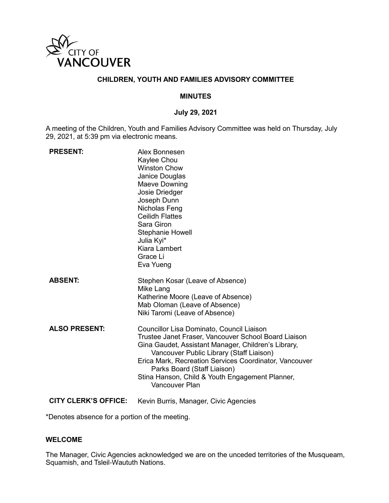

# **CHILDREN, YOUTH AND FAMILIES ADVISORY COMMITTEE**

#### **MINUTES**

#### **July 29, 2021**

A meeting of the Children, Youth and Families Advisory Committee was held on Thursday, July 29, 2021, at 5:39 pm via electronic means.

| <b>PRESENT:</b>      | Alex Bonnesen<br>Kaylee Chou<br><b>Winston Chow</b><br>Janice Douglas<br>Maeve Downing<br>Josie Driedger<br>Joseph Dunn<br>Nicholas Feng<br><b>Ceilidh Flattes</b><br>Sara Giron<br><b>Stephanie Howell</b><br>Julia Kyi*<br>Kiara Lambert<br>Grace Li<br>Eva Yueng                                                                                                |
|----------------------|--------------------------------------------------------------------------------------------------------------------------------------------------------------------------------------------------------------------------------------------------------------------------------------------------------------------------------------------------------------------|
| <b>ABSENT:</b>       | Stephen Kosar (Leave of Absence)<br>Mike Lang<br>Katherine Moore (Leave of Absence)<br>Mab Oloman (Leave of Absence)<br>Niki Taromi (Leave of Absence)                                                                                                                                                                                                             |
| <b>ALSO PRESENT:</b> | Councillor Lisa Dominato, Council Liaison<br>Trustee Janet Fraser, Vancouver School Board Liaison<br>Gina Gaudet, Assistant Manager, Children's Library,<br>Vancouver Public Library (Staff Liaison)<br>Erica Mark, Recreation Services Coordinator, Vancouver<br>Parks Board (Staff Liaison)<br>Stina Hanson, Child & Youth Engagement Planner,<br>Vancouver Plan |

**CITY CLERK'S OFFICE:** Kevin Burris, Manager, Civic Agencies

\*Denotes absence for a portion of the meeting.

### **WELCOME**

The Manager, Civic Agencies acknowledged we are on the unceded territories of the Musqueam, Squamish, and Tsleil-Waututh Nations.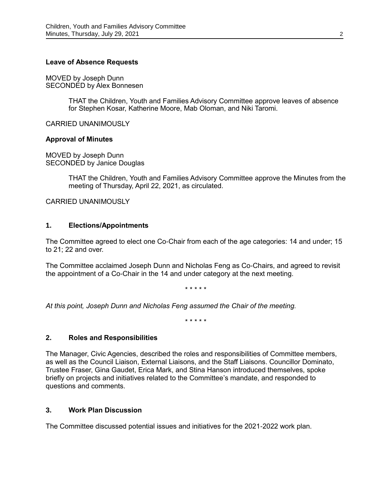#### **Leave of Absence Requests**

MOVED by Joseph Dunn SECONDED by Alex Bonnesen

> THAT the Children, Youth and Families Advisory Committee approve leaves of absence for Stephen Kosar, Katherine Moore, Mab Oloman, and Niki Taromi.

CARRIED UNANIMOUSLY

### **Approval of Minutes**

MOVED by Joseph Dunn SECONDED by Janice Douglas

> THAT the Children, Youth and Families Advisory Committee approve the Minutes from the meeting of Thursday, April 22, 2021, as circulated.

CARRIED UNANIMOUSLY

### **1. Elections/Appointments**

The Committee agreed to elect one Co-Chair from each of the age categories: 14 and under; 15 to 21; 22 and over.

The Committee acclaimed Joseph Dunn and Nicholas Feng as Co-Chairs, and agreed to revisit the appointment of a Co-Chair in the 14 and under category at the next meeting.

\* \* \* \* \*

*At this point, Joseph Dunn and Nicholas Feng assumed the Chair of the meeting.*

\* \* \* \* \*

## **2. Roles and Responsibilities**

The Manager, Civic Agencies, described the roles and responsibilities of Committee members, as well as the Council Liaison, External Liaisons, and the Staff Liaisons. Councillor Dominato, Trustee Fraser, Gina Gaudet, Erica Mark, and Stina Hanson introduced themselves, spoke briefly on projects and initiatives related to the Committee's mandate, and responded to questions and comments.

## **3. Work Plan Discussion**

The Committee discussed potential issues and initiatives for the 2021-2022 work plan.